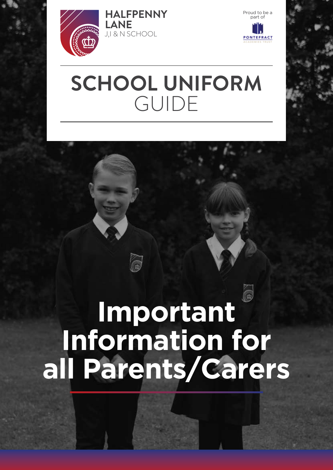

**LANE**

**HALFPENNY** Proud to be a **HALFPENNY** 

# **SCHOOL UNIFORM**  GUIDE

# **Important Information for all Parents/Carers**

G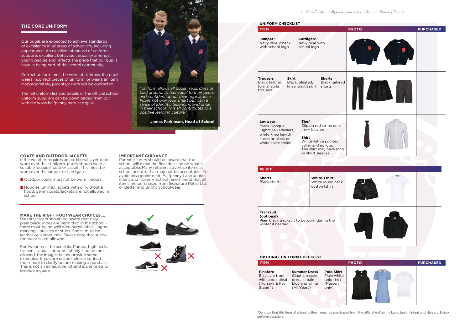Uniform Guide - Halfpenny Lane Junior, Infant and Nursery School

.. .. .... \*Denotes that this item of school uniform must be purchased from the official Halfpenny Lane Junior, Infant and Nursery School uniform suppliers.



| <b>ITEM</b>      |                     |                   |
|------------------|---------------------|-------------------|
| <b>Pinafore</b>  | <b>Summer Dress</b> | <b>Polo Shirt</b> |
| Black zip front  | Gingham style       | Plain white       |
| with a box pleat | dress in pale       | polo shirt        |
| (Nursery & Key   | blue and white      | (Nursery          |
| Stage 1)         | (All Years)         | only)             |

| Jumper*<br>Cardigan*<br>Navy blue V neck<br>Navy blue with<br>with school logo<br>school logo<br><b>Skirt</b><br><b>Shorts</b><br><b>Trousers</b><br><b>Black tailored</b><br><b>Black tailored</b><br>Black, pleated,<br>knee length skirt<br>formal style<br>shorts<br>trousers<br>Ties*<br>Legwear<br>Clip on red stripe on a<br><b>Black Opaque</b><br>navy blue tie<br>Tights (40+denier),<br>white knee length<br>Shirt<br>socks or black or<br>White with a pointed<br>white ankle socks<br>collar and no logo.<br>The shirt may have long<br>or short sleeves. | UNIFORM CHECKLIST<br><b>ITEM</b>                                                                  |                                                          |
|------------------------------------------------------------------------------------------------------------------------------------------------------------------------------------------------------------------------------------------------------------------------------------------------------------------------------------------------------------------------------------------------------------------------------------------------------------------------------------------------------------------------------------------------------------------------|---------------------------------------------------------------------------------------------------|----------------------------------------------------------|
|                                                                                                                                                                                                                                                                                                                                                                                                                                                                                                                                                                        |                                                                                                   |                                                          |
|                                                                                                                                                                                                                                                                                                                                                                                                                                                                                                                                                                        |                                                                                                   |                                                          |
|                                                                                                                                                                                                                                                                                                                                                                                                                                                                                                                                                                        |                                                                                                   |                                                          |
|                                                                                                                                                                                                                                                                                                                                                                                                                                                                                                                                                                        | <b>Shorts</b><br><b>Black shorts</b>                                                              | <b>White Tshirt</b><br>White round neck<br>cotton tshirt |
|                                                                                                                                                                                                                                                                                                                                                                                                                                                                                                                                                                        | <b>Tracksuit</b><br>(optional)<br>Plain black tracksuit to be worn during the<br>winter if needed |                                                          |

The full uniform list and details of the official school uniform suppliers can be downloaded from our website www.halfpenny.patrust.org.uk



# **THE CORE UNIFORM**

- Outdoor coats must not be worn indoors.
- $\blacksquare$  Hoodies, unlined jackets with or without a hood, denim coats/jackets are not allowed in school.

Our pupils are expected to achieve standards of excellence in all areas of school life, including appearance. An excellent standard of uniform supports excellent behaviour, equality amongst young people and reflects the pride that our pupils have in being part of the school community.

Correct uniform must be worn at all times. If a pupil wears incorrect pieces of uniform, or wears an item inappropriately, parents/carers will be contacted.

> *"Uniform allows all pupils, regardless of background, to feel equal to their peers and confident about their appearance. Pupils not only look smart but gain a sense of identity, belonging and pride in their school. This all contributes to a positive learning culture."*

> > **James Parkinson, Head of School**

### **COATS AND OUTDOOR JACKETS**

If the weather requires an additional layer to be worn over their uniform, pupils should wear a suitable 'outside' coat or jacket. This must be worn over the jumper or cardigan.

#### **MAKE THE RIGHT FOOTWEAR CHOICES….**

Parents/carers should be aware that only plain black shoes are permitted in the school – there must be no white/coloured labels, logos, markings, buckles or studs. Shoes must be leather or leather look. Please note that suede footwear is not allowed.

Footwear must be sensible. Pumps, high heels, trainers, sandals or boots of any kind are not allowed; the images below provide some examples. If you are unsure, please contact the school to clarify before making a purchase. This is not an exhaustive list and is designed to provide a guide.

#### **IMPORTANT GUIDANCE**

Parents/carers should be aware that the school will make the final decision on what is acceptable. Many retailers advertise items as school uniform that may not be acceptable. To avoid disappointment, Halfpenny Lane Junior, Infant and Nursery School recommend that all items are purchased from Signature Retail Ltd or Better and Bright Schoolwear.